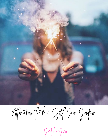

Affirmations for the Self Care Junkie

Jedrah Allen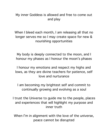My inner Goddess is allowed and free to come out and play

When I bleed each month, I am releasing all that no longer serves me so I may create space for new & nourishing opportunities

My body is deeply connected to the moon, and I honour my phases as I honour the moon's phases

I honour my emotions and respect my highs and lows, as they are divine teachers for patience, self love and nurturance

I am becoming my brightest self and commit to continually growing and evolving as a soul

I trust the Universe to guide me to the people, places and experiences that will highlight my purpose and inner truth

When I'm in alignment with the love of the universe, peace cannot be disrupted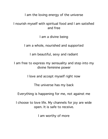I am the loving energy of the universe

## I nourish myself with spiritual food and I am satisfied and free

I am a divine being

I am a whole, nourished and supported

I am beautiful, sexy and radiant

I am free to express my sensuality and step into my divine feminine power

I love and accept myself right now

The universe has my back

Everything is happening for me, not against me

I choose to love life. My channels for joy are wide open. It is safe to receive.

I am worthy of more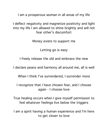I am a prosperous woman in all areas of my life

I deflect negativity and magnetize positivity and light into my life I am allowed to shine brightly and will not fear other's discomfort

Money exists to support me

Letting go is easy

I freely release the old and embrace the new

I declare peace and harmony all around me, all is well

When I think I've surrendered, I surrender more

I recognize that I have chosen fear, and I choose again - I choose love

True healing occurs when I give myself permission to feel whatever feelings live below the triggers

I am a spirit having a human experience and I'm here to get closer to love